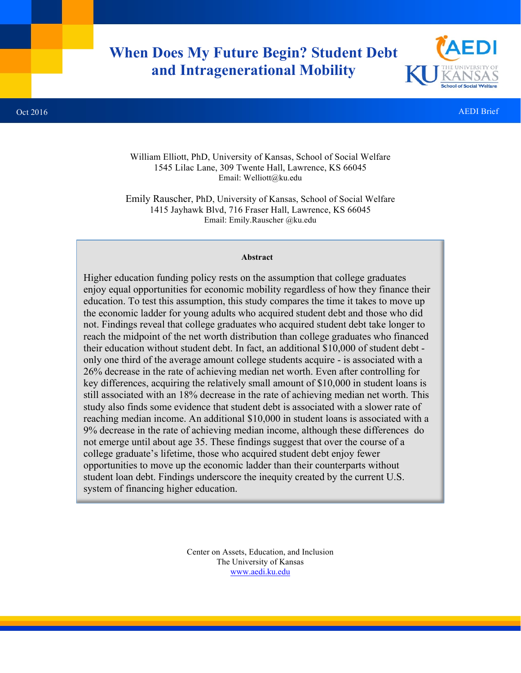# **When Does My Future Begin? Student Debt and Intragenerational Mobility**



#### Oct 2016 AEDI Brief

William Elliott, PhD, University of Kansas, School of Social Welfare 1545 Lilac Lane, 309 Twente Hall, Lawrence, KS 66045 Email: Welliott@ku.edu

Emily Rauscher, PhD, University of Kansas, School of Social Welfare 1415 Jayhawk Blvd, 716 Fraser Hall, Lawrence, KS 66045 Email: Emily.Rauscher @ku.edu

#### **Abstract**

Higher education funding policy rests on the assumption that college graduates enjoy equal opportunities for economic mobility regardless of how they finance their education. To test this assumption, this study compares the time it takes to move up the economic ladder for young adults who acquired student debt and those who did not. Findings reveal that college graduates who acquired student debt take longer to reach the midpoint of the net worth distribution than college graduates who financed their education without student debt. In fact, an additional \$10,000 of student debt only one third of the average amount college students acquire - is associated with a 26% decrease in the rate of achieving median net worth. Even after controlling for key differences, acquiring the relatively small amount of \$10,000 in student loans is still associated with an 18% decrease in the rate of achieving median net worth. This study also finds some evidence that student debt is associated with a slower rate of reaching median income. An additional \$10,000 in student loans is associated with a 9% decrease in the rate of achieving median income, although these differences do not emerge until about age 35. These findings suggest that over the course of a college graduate's lifetime, those who acquired student debt enjoy fewer opportunities to move up the economic ladder than their counterparts without student loan debt. Findings underscore the inequity created by the current U.S. system of financing higher education.

> Center on Assets, Education, and Inclusion The University of Kansas www.aedi.ku.edu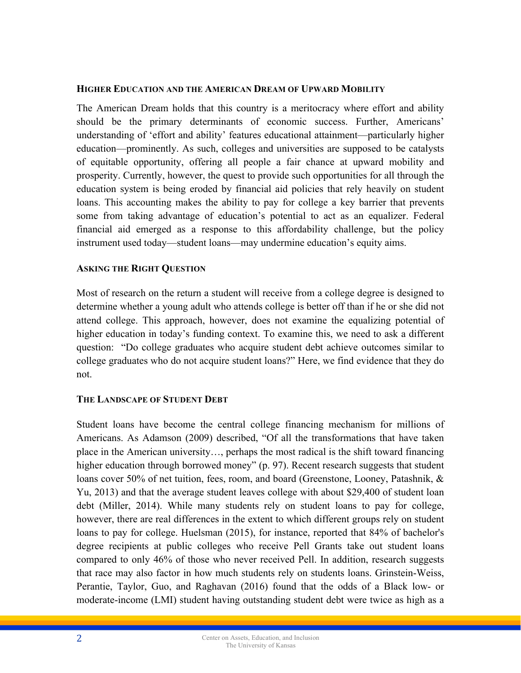### **HIGHER EDUCATION AND THE AMERICAN DREAM OF UPWARD MOBILITY**

The American Dream holds that this country is a meritocracy where effort and ability should be the primary determinants of economic success. Further, Americans' understanding of 'effort and ability' features educational attainment—particularly higher education—prominently. As such, colleges and universities are supposed to be catalysts of equitable opportunity, offering all people a fair chance at upward mobility and prosperity. Currently, however, the quest to provide such opportunities for all through the education system is being eroded by financial aid policies that rely heavily on student loans. This accounting makes the ability to pay for college a key barrier that prevents some from taking advantage of education's potential to act as an equalizer. Federal financial aid emerged as a response to this affordability challenge, but the policy instrument used today—student loans—may undermine education's equity aims.

### **ASKING THE RIGHT QUESTION**

Most of research on the return a student will receive from a college degree is designed to determine whether a young adult who attends college is better off than if he or she did not attend college. This approach, however, does not examine the equalizing potential of higher education in today's funding context. To examine this, we need to ask a different question: "Do college graduates who acquire student debt achieve outcomes similar to college graduates who do not acquire student loans?" Here, we find evidence that they do not.

# **THE LANDSCAPE OF STUDENT DEBT**

Student loans have become the central college financing mechanism for millions of Americans. As Adamson (2009) described, "Of all the transformations that have taken place in the American university…, perhaps the most radical is the shift toward financing higher education through borrowed money" (p. 97). Recent research suggests that student loans cover 50% of net tuition, fees, room, and board (Greenstone, Looney, Patashnik, & Yu, 2013) and that the average student leaves college with about \$29,400 of student loan debt (Miller, 2014). While many students rely on student loans to pay for college, however, there are real differences in the extent to which different groups rely on student loans to pay for college. Huelsman (2015), for instance, reported that 84% of bachelor's degree recipients at public colleges who receive Pell Grants take out student loans compared to only 46% of those who never received Pell. In addition, research suggests that race may also factor in how much students rely on students loans. Grinstein-Weiss, Perantie, Taylor, Guo, and Raghavan (2016) found that the odds of a Black low- or moderate-income (LMI) student having outstanding student debt were twice as high as a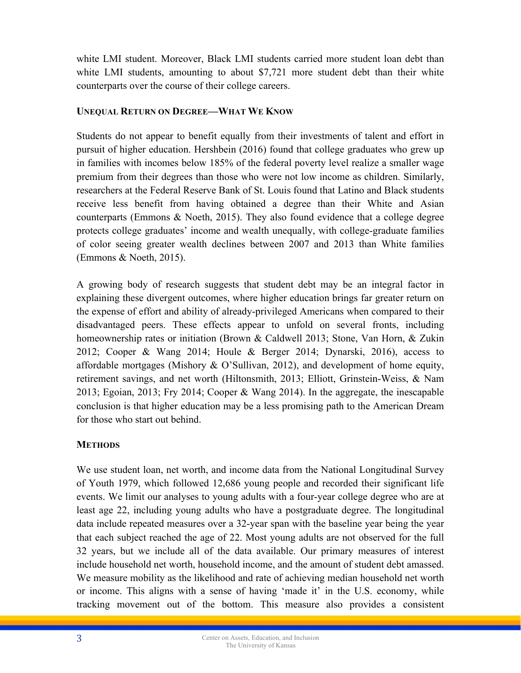white LMI student. Moreover, Black LMI students carried more student loan debt than white LMI students, amounting to about \$7,721 more student debt than their white counterparts over the course of their college careers.

# **UNEQUAL RETURN ON DEGREE—WHAT WE KNOW**

Students do not appear to benefit equally from their investments of talent and effort in pursuit of higher education. Hershbein (2016) found that college graduates who grew up in families with incomes below 185% of the federal poverty level realize a smaller wage premium from their degrees than those who were not low income as children. Similarly, researchers at the Federal Reserve Bank of St. Louis found that Latino and Black students receive less benefit from having obtained a degree than their White and Asian counterparts (Emmons  $\& Noeth, 2015$ ). They also found evidence that a college degree protects college graduates' income and wealth unequally, with college-graduate families of color seeing greater wealth declines between 2007 and 2013 than White families (Emmons & Noeth, 2015).

A growing body of research suggests that student debt may be an integral factor in explaining these divergent outcomes, where higher education brings far greater return on the expense of effort and ability of already-privileged Americans when compared to their disadvantaged peers. These effects appear to unfold on several fronts, including homeownership rates or initiation (Brown & Caldwell 2013; Stone, Van Horn, & Zukin 2012; Cooper & Wang 2014; Houle & Berger 2014; Dynarski, 2016), access to affordable mortgages (Mishory & O'Sullivan, 2012), and development of home equity, retirement savings, and net worth (Hiltonsmith, 2013; Elliott, Grinstein-Weiss, & Nam 2013; Egoian, 2013; Fry 2014; Cooper & Wang 2014). In the aggregate, the inescapable conclusion is that higher education may be a less promising path to the American Dream for those who start out behind.

# **METHODS**

We use student loan, net worth, and income data from the National Longitudinal Survey of Youth 1979, which followed 12,686 young people and recorded their significant life events. We limit our analyses to young adults with a four-year college degree who are at least age 22, including young adults who have a postgraduate degree. The longitudinal data include repeated measures over a 32-year span with the baseline year being the year that each subject reached the age of 22. Most young adults are not observed for the full 32 years, but we include all of the data available. Our primary measures of interest include household net worth, household income, and the amount of student debt amassed. We measure mobility as the likelihood and rate of achieving median household net worth or income. This aligns with a sense of having 'made it' in the U.S. economy, while tracking movement out of the bottom. This measure also provides a consistent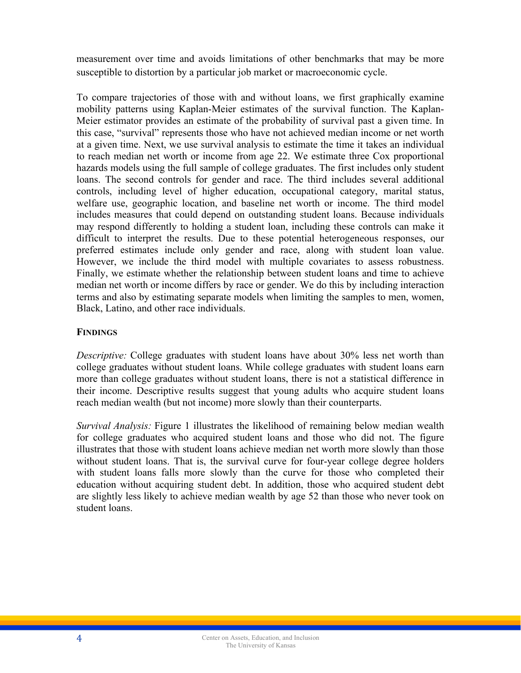measurement over time and avoids limitations of other benchmarks that may be more susceptible to distortion by a particular job market or macroeconomic cycle.

To compare trajectories of those with and without loans, we first graphically examine mobility patterns using Kaplan-Meier estimates of the survival function. The Kaplan-Meier estimator provides an estimate of the probability of survival past a given time. In this case, "survival" represents those who have not achieved median income or net worth at a given time. Next, we use survival analysis to estimate the time it takes an individual to reach median net worth or income from age 22. We estimate three Cox proportional hazards models using the full sample of college graduates. The first includes only student loans. The second controls for gender and race. The third includes several additional controls, including level of higher education, occupational category, marital status, welfare use, geographic location, and baseline net worth or income. The third model includes measures that could depend on outstanding student loans. Because individuals may respond differently to holding a student loan, including these controls can make it difficult to interpret the results. Due to these potential heterogeneous responses, our preferred estimates include only gender and race, along with student loan value. However, we include the third model with multiple covariates to assess robustness. Finally, we estimate whether the relationship between student loans and time to achieve median net worth or income differs by race or gender. We do this by including interaction terms and also by estimating separate models when limiting the samples to men, women, Black, Latino, and other race individuals.

# **FINDINGS**

*Descriptive:* College graduates with student loans have about 30% less net worth than college graduates without student loans. While college graduates with student loans earn more than college graduates without student loans, there is not a statistical difference in their income. Descriptive results suggest that young adults who acquire student loans reach median wealth (but not income) more slowly than their counterparts.

*Survival Analysis:* Figure 1 illustrates the likelihood of remaining below median wealth for college graduates who acquired student loans and those who did not. The figure illustrates that those with student loans achieve median net worth more slowly than those without student loans. That is, the survival curve for four-year college degree holders with student loans falls more slowly than the curve for those who completed their education without acquiring student debt. In addition, those who acquired student debt are slightly less likely to achieve median wealth by age 52 than those who never took on student loans.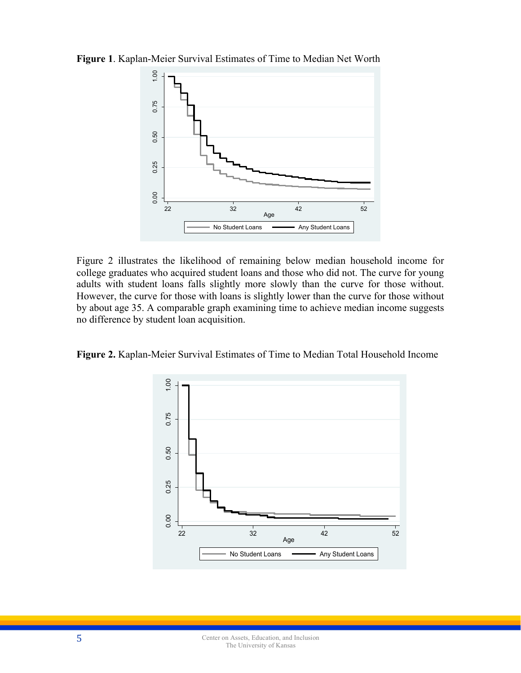

**Figure 1**. Kaplan-Meier Survival Estimates of Time to Median Net Worth

Figure 2 illustrates the likelihood of remaining below median household income for college graduates who acquired student loans and those who did not. The curve for young adults with student loans falls slightly more slowly than the curve for those without. However, the curve for those with loans is slightly lower than the curve for those without by about age 35. A comparable graph examining time to achieve median income suggests no difference by student loan acquisition.

**Figure 2.** Kaplan-Meier Survival Estimates of Time to Median Total Household Income

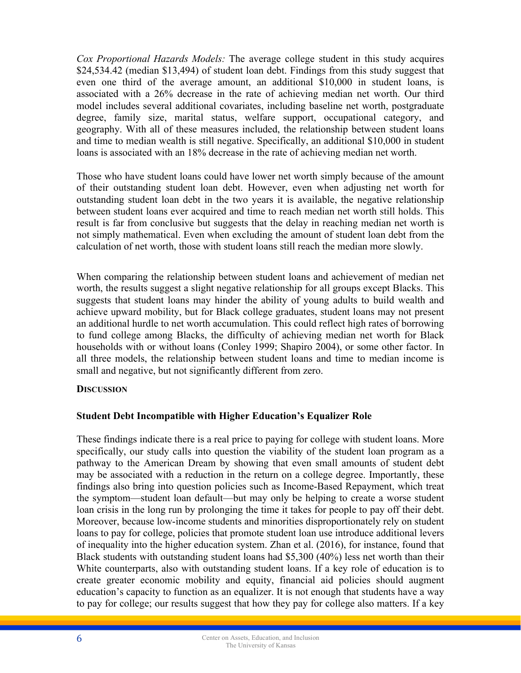*Cox Proportional Hazards Models:* The average college student in this study acquires \$24,534.42 (median \$13,494) of student loan debt. Findings from this study suggest that even one third of the average amount, an additional \$10,000 in student loans, is associated with a 26% decrease in the rate of achieving median net worth. Our third model includes several additional covariates, including baseline net worth, postgraduate degree, family size, marital status, welfare support, occupational category, and geography. With all of these measures included, the relationship between student loans and time to median wealth is still negative. Specifically, an additional \$10,000 in student loans is associated with an 18% decrease in the rate of achieving median net worth.

Those who have student loans could have lower net worth simply because of the amount of their outstanding student loan debt. However, even when adjusting net worth for outstanding student loan debt in the two years it is available, the negative relationship between student loans ever acquired and time to reach median net worth still holds. This result is far from conclusive but suggests that the delay in reaching median net worth is not simply mathematical. Even when excluding the amount of student loan debt from the calculation of net worth, those with student loans still reach the median more slowly.

When comparing the relationship between student loans and achievement of median net worth, the results suggest a slight negative relationship for all groups except Blacks. This suggests that student loans may hinder the ability of young adults to build wealth and achieve upward mobility, but for Black college graduates, student loans may not present an additional hurdle to net worth accumulation. This could reflect high rates of borrowing to fund college among Blacks, the difficulty of achieving median net worth for Black households with or without loans (Conley 1999; Shapiro 2004), or some other factor. In all three models, the relationship between student loans and time to median income is small and negative, but not significantly different from zero.

# **DISCUSSION**

# **Student Debt Incompatible with Higher Education's Equalizer Role**

These findings indicate there is a real price to paying for college with student loans. More specifically, our study calls into question the viability of the student loan program as a pathway to the American Dream by showing that even small amounts of student debt may be associated with a reduction in the return on a college degree. Importantly, these findings also bring into question policies such as Income-Based Repayment, which treat the symptom—student loan default—but may only be helping to create a worse student loan crisis in the long run by prolonging the time it takes for people to pay off their debt. Moreover, because low-income students and minorities disproportionately rely on student loans to pay for college, policies that promote student loan use introduce additional levers of inequality into the higher education system. Zhan et al. (2016), for instance, found that Black students with outstanding student loans had \$5,300 (40%) less net worth than their White counterparts, also with outstanding student loans. If a key role of education is to create greater economic mobility and equity, financial aid policies should augment education's capacity to function as an equalizer. It is not enough that students have a way to pay for college; our results suggest that how they pay for college also matters. If a key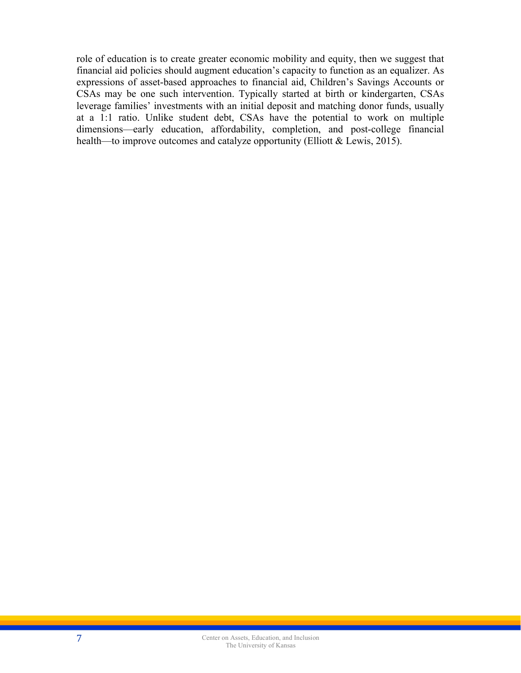role of education is to create greater economic mobility and equity, then we suggest that financial aid policies should augment education's capacity to function as an equalizer. As expressions of asset-based approaches to financial aid, Children's Savings Accounts or CSAs may be one such intervention. Typically started at birth or kindergarten, CSAs leverage families' investments with an initial deposit and matching donor funds, usually at a 1:1 ratio. Unlike student debt, CSAs have the potential to work on multiple dimensions—early education, affordability, completion, and post-college financial health—to improve outcomes and catalyze opportunity (Elliott & Lewis, 2015).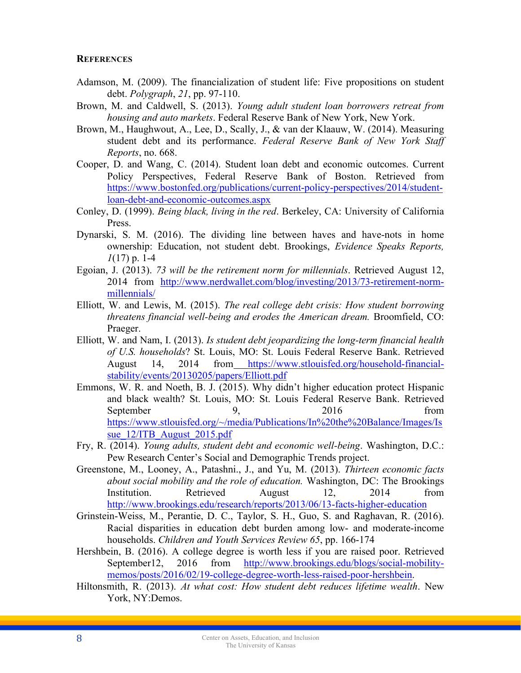#### **REFERENCES**

- Adamson, M. (2009). The financialization of student life: Five propositions on student debt. *Polygraph*, *21*, pp. 97-110.
- Brown, M. and Caldwell, S. (2013). *Young adult student loan borrowers retreat from housing and auto markets*. Federal Reserve Bank of New York, New York.
- Brown, M., Haughwout, A., Lee, D., Scally, J., & van der Klaauw, W. (2014). Measuring student debt and its performance. *Federal Reserve Bank of New York Staff Reports*, no. 668.
- Cooper, D. and Wang, C. (2014). Student loan debt and economic outcomes. Current Policy Perspectives, Federal Reserve Bank of Boston. Retrieved from https://www.bostonfed.org/publications/current-policy-perspectives/2014/studentloan-debt-and-economic-outcomes.aspx
- Conley, D. (1999). *Being black, living in the red*. Berkeley, CA: University of California **Press**.
- Dynarski, S. M. (2016). The dividing line between haves and have-nots in home ownership: Education, not student debt. Brookings, *Evidence Speaks Reports, 1*(17) p. 1-4
- Egoian, J. (2013). *73 will be the retirement norm for millennials*. Retrieved August 12, 2014 from http://www.nerdwallet.com/blog/investing/2013/73-retirement-normmillennials/
- Elliott, W. and Lewis, M. (2015). *The real college debt crisis: How student borrowing threatens financial well-being and erodes the American dream.* Broomfield, CO: Praeger.
- Elliott, W. and Nam, I. (2013). *Is student debt jeopardizing the long-term financial health of U.S. households*? St. Louis, MO: St. Louis Federal Reserve Bank. Retrieved August 14, 2014 from https://www.stlouisfed.org/household-financialstability/events/20130205/papers/Elliott.pdf
- Emmons, W. R. and Noeth, B. J. (2015). Why didn't higher education protect Hispanic and black wealth? St. Louis, MO: St. Louis Federal Reserve Bank. Retrieved September 9, 2016 from https://www.stlouisfed.org/~/media/Publications/In%20the%20Balance/Images/Is sue 12/ITB August 2015.pdf
- Fry, R. (2014). *Young adults, student debt and economic well-being*. Washington, D.C.: Pew Research Center's Social and Demographic Trends project.
- Greenstone, M., Looney, A., Patashni., J., and Yu, M. (2013). *Thirteen economic facts about social mobility and the role of education.* Washington, DC: The Brookings Institution. Retrieved August 12, 2014 from http://www.brookings.edu/research/reports/2013/06/13-facts-higher-education
- Grinstein-Weiss, M., Perantie, D. C., Taylor, S. H., Guo, S. and Raghavan, R. (2016). Racial disparities in education debt burden among low- and moderate-income households. *Children and Youth Services Review 65*, pp. 166-174
- Hershbein, B. (2016). A college degree is worth less if you are raised poor. Retrieved September12, 2016 from http://www.brookings.edu/blogs/social-mobilitymemos/posts/2016/02/19-college-degree-worth-less-raised-poor-hershbein.
- Hiltonsmith, R. (2013). *At what cost: How student debt reduces lifetime wealth*. New York, NY:Demos.